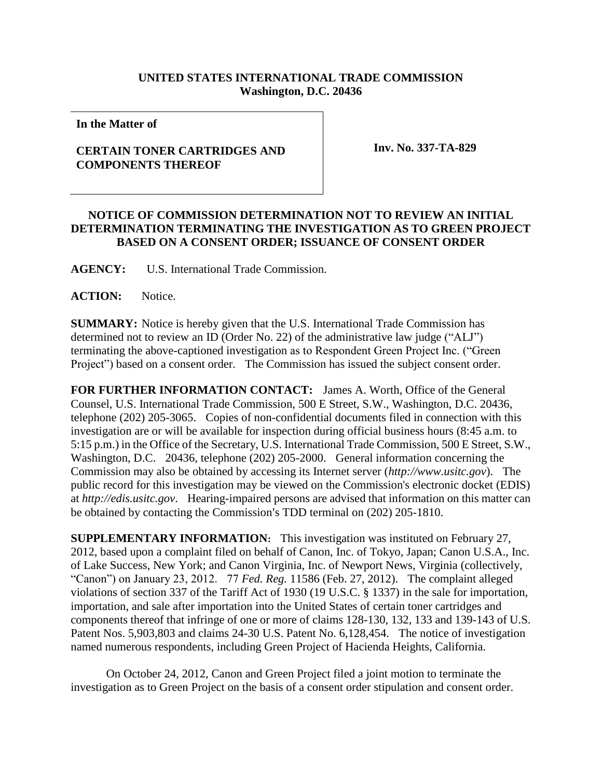## **UNITED STATES INTERNATIONAL TRADE COMMISSION Washington, D.C. 20436**

**In the Matter of**

## **CERTAIN TONER CARTRIDGES AND COMPONENTS THEREOF**

 **Inv. No. 337-TA-829**

## **NOTICE OF COMMISSION DETERMINATION NOT TO REVIEW AN INITIAL DETERMINATION TERMINATING THE INVESTIGATION AS TO GREEN PROJECT BASED ON A CONSENT ORDER; ISSUANCE OF CONSENT ORDER**

**AGENCY:** U.S. International Trade Commission.

ACTION: Notice.

**SUMMARY:** Notice is hereby given that the U.S. International Trade Commission has determined not to review an ID (Order No. 22) of the administrative law judge ("ALJ") terminating the above-captioned investigation as to Respondent Green Project Inc. ("Green Project") based on a consent order. The Commission has issued the subject consent order.

**FOR FURTHER INFORMATION CONTACT:** James A. Worth, Office of the General Counsel, U.S. International Trade Commission, 500 E Street, S.W., Washington, D.C. 20436, telephone (202) 205-3065. Copies of non-confidential documents filed in connection with this investigation are or will be available for inspection during official business hours (8:45 a.m. to 5:15 p.m.) in the Office of the Secretary, U.S. International Trade Commission, 500 E Street, S.W., Washington, D.C. 20436, telephone (202) 205-2000. General information concerning the Commission may also be obtained by accessing its Internet server (*http://www.usitc.gov*). The public record for this investigation may be viewed on the Commission's electronic docket (EDIS) at *http://edis.usitc.gov*. Hearing-impaired persons are advised that information on this matter can be obtained by contacting the Commission's TDD terminal on (202) 205-1810.

**SUPPLEMENTARY INFORMATION:** This investigation was instituted on February 27, 2012, based upon a complaint filed on behalf of Canon, Inc. of Tokyo, Japan; Canon U.S.A., Inc. of Lake Success, New York; and Canon Virginia, Inc. of Newport News, Virginia (collectively, "Canon") on January 23, 2012. 77 *Fed. Reg.* 11586 (Feb. 27, 2012). The complaint alleged violations of section 337 of the Tariff Act of 1930 (19 U.S.C. § 1337) in the sale for importation, importation, and sale after importation into the United States of certain toner cartridges and components thereof that infringe of one or more of claims 128-130, 132, 133 and 139-143 of U.S. Patent Nos. 5,903,803 and claims 24-30 U.S. Patent No. 6,128,454. The notice of investigation named numerous respondents, including Green Project of Hacienda Heights, California.

On October 24, 2012, Canon and Green Project filed a joint motion to terminate the investigation as to Green Project on the basis of a consent order stipulation and consent order.